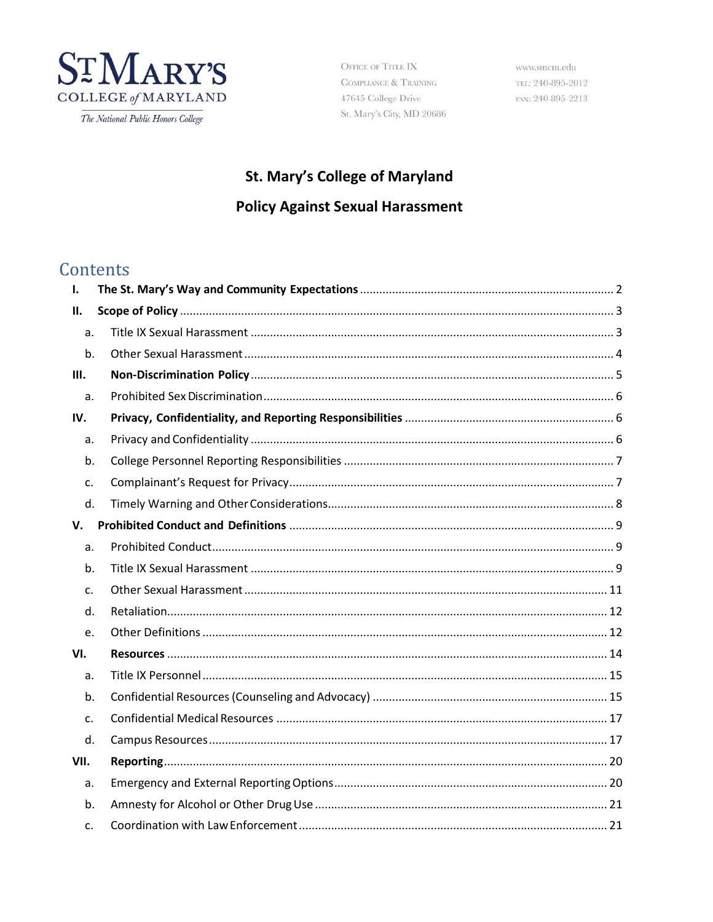

The National Public Honors College

OFFICE OF TITLE IX COMPLIANCE  $\&$  TRAINING 47645 College Drive St. Mary's City, MD 20686

www.smcm.edu TEL: 240-895-2012 FAX: 240-895-2213

# St. Mary's College of Maryland

# **Policy Against Sexual Harassment**

# Contents

| I.         |  |
|------------|--|
| <b>II.</b> |  |
| a.         |  |
| b.         |  |
| Ш.         |  |
| a.         |  |
| IV.        |  |
| a.         |  |
| b.         |  |
| c.         |  |
| d.         |  |
| V.         |  |
| a.         |  |
| b.         |  |
| c.         |  |
| d.         |  |
| e.         |  |
| VI.        |  |
| a.         |  |
| b.         |  |
| c.         |  |
| d.         |  |
| VII.       |  |
| a.         |  |
| b.         |  |
| C.         |  |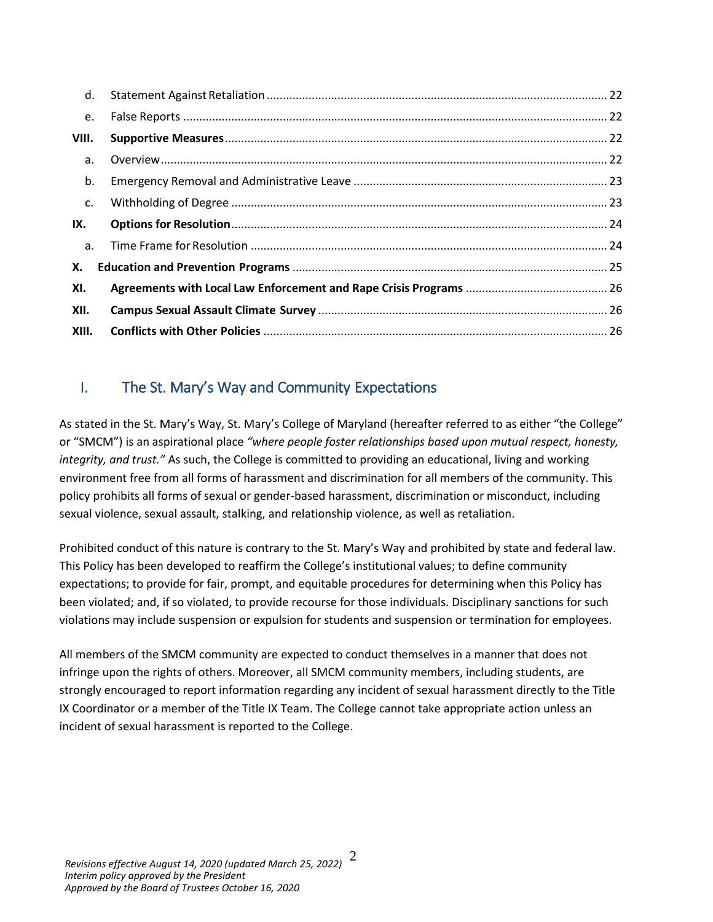| d.    |  |
|-------|--|
| e.    |  |
| VIII. |  |
| a.    |  |
| b.    |  |
| c.    |  |
| IX.   |  |
| a.    |  |
| Х.    |  |
| XI.   |  |
| XII.  |  |
| XIII. |  |

# <span id="page-1-0"></span>I. The St. Mary's Way and Community Expectations

As stated in the St. Mary's Way, St. Mary's College of Maryland (hereafter referred to as either "the College" or "SMCM") is an aspirational place *"where people foster relationships based upon mutual respect, honesty, integrity, and trust."* As such, the College is committed to providing an educational, living and working environment free from all forms of harassment and discrimination for all members of the community. This policy prohibits all forms of sexual or gender-based harassment, discrimination or misconduct, including sexual violence, sexual assault, stalking, and relationship violence, as well as retaliation.

Prohibited conduct of this nature is contrary to the St. Mary's Way and prohibited by state and federal law. This Policy has been developed to reaffirm the College's institutional values; to define community expectations; to provide for fair, prompt, and equitable procedures for determining when this Policy has been violated; and, if so violated, to provide recourse for those individuals. Disciplinary sanctions for such violations may include suspension or expulsion for students and suspension or termination for employees.

All members of the SMCM community are expected to conduct themselves in a manner that does not infringe upon the rights of others. Moreover, all SMCM community members, including students, are strongly encouraged to report information regarding any incident of sexual harassment directly to the Title IX Coordinator or a member of the Title IX Team. The College cannot take appropriate action unless an incident of sexual harassment is reported to the College.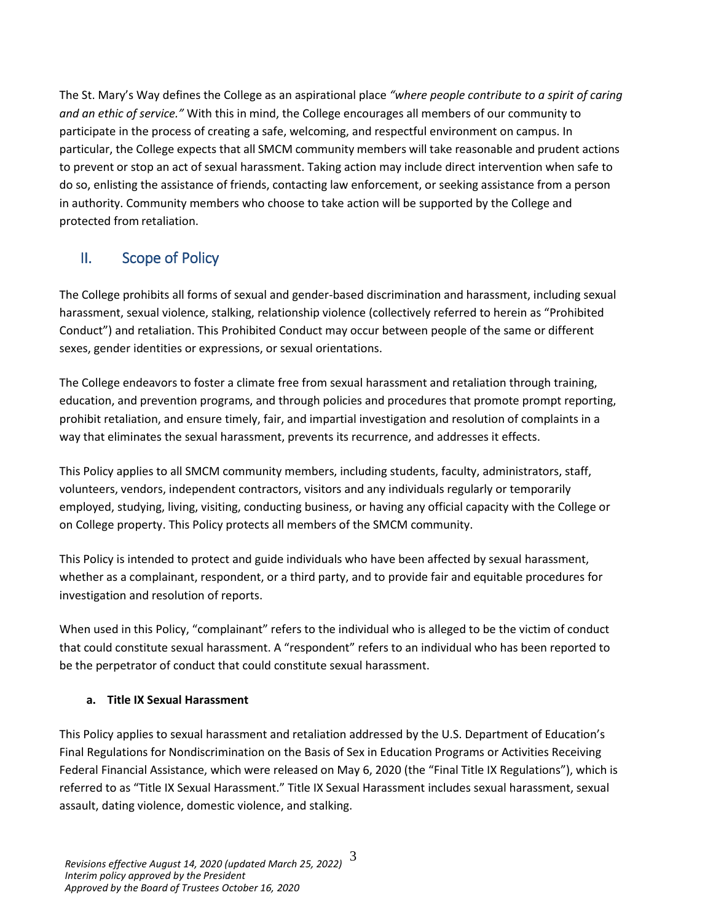The St. Mary's Way defines the College as an aspirational place *"where people contribute to a spirit of caring and an ethic of service."* With this in mind, the College encourages all members of our community to participate in the process of creating a safe, welcoming, and respectful environment on campus. In particular, the College expects that all SMCM community members will take reasonable and prudent actions to prevent or stop an act of sexual harassment. Taking action may include direct intervention when safe to do so, enlisting the assistance of friends, contacting law enforcement, or seeking assistance from a person in authority. Community members who choose to take action will be supported by the College and protected from retaliation.

# <span id="page-2-0"></span>II. Scope of Policy

The College prohibits all forms of sexual and gender-based discrimination and harassment, including sexual harassment, sexual violence, stalking, relationship violence (collectively referred to herein as "Prohibited Conduct") and retaliation. This Prohibited Conduct may occur between people of the same or different sexes, gender identities or expressions, or sexual orientations.

The College endeavors to foster a climate free from sexual harassment and retaliation through training, education, and prevention programs, and through policies and procedures that promote prompt reporting, prohibit retaliation, and ensure timely, fair, and impartial investigation and resolution of complaints in a way that eliminates the sexual harassment, prevents its recurrence, and addresses it effects.

This Policy applies to all SMCM community members, including students, faculty, administrators, staff, volunteers, vendors, independent contractors, visitors and any individuals regularly or temporarily employed, studying, living, visiting, conducting business, or having any official capacity with the College or on College property. This Policy protects all members of the SMCM community.

This Policy is intended to protect and guide individuals who have been affected by sexual harassment, whether as a complainant, respondent, or a third party, and to provide fair and equitable procedures for investigation and resolution of reports.

When used in this Policy, "complainant" refers to the individual who is alleged to be the victim of conduct that could constitute sexual harassment. A "respondent" refers to an individual who has been reported to be the perpetrator of conduct that could constitute sexual harassment.

### <span id="page-2-1"></span>**a. Title IX Sexual Harassment**

This Policy applies to sexual harassment and retaliation addressed by the U.S. Department of Education's Final Regulations for Nondiscrimination on the Basis of Sex in Education Programs or Activities Receiving Federal Financial Assistance, which were released on May 6, 2020 (the "Final Title IX Regulations"), which is referred to as "Title IX Sexual Harassment." Title IX Sexual Harassment includes sexual harassment, sexual assault, dating violence, domestic violence, and stalking.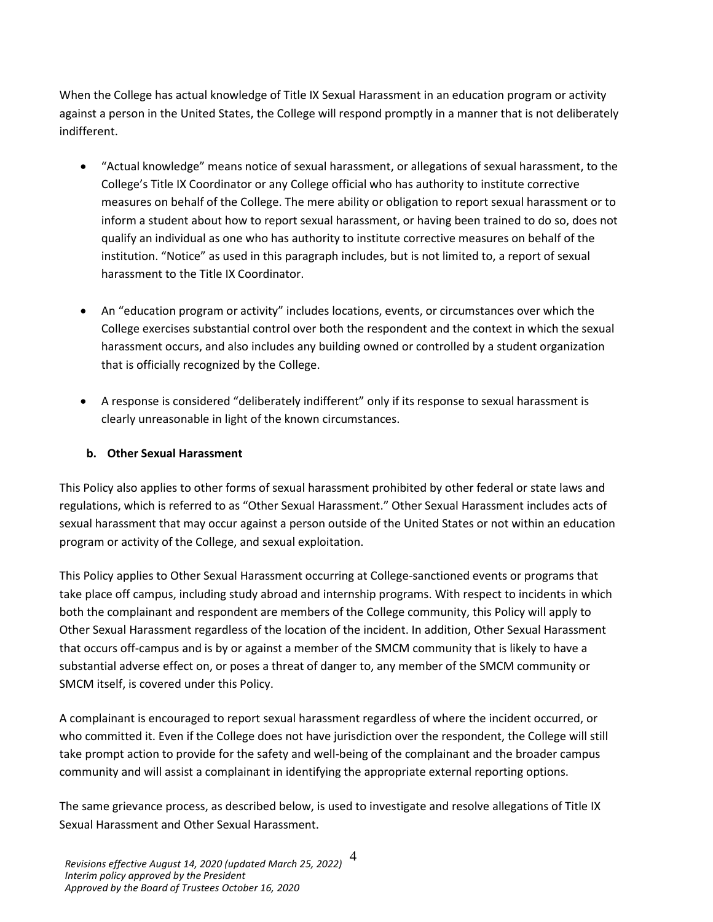When the College has actual knowledge of Title IX Sexual Harassment in an education program or activity against a person in the United States, the College will respond promptly in a manner that is not deliberately indifferent.

- "Actual knowledge" means notice of sexual harassment, or allegations of sexual harassment, to the College's Title IX Coordinator or any College official who has authority to institute corrective measures on behalf of the College. The mere ability or obligation to report sexual harassment or to inform a student about how to report sexual harassment, or having been trained to do so, does not qualify an individual as one who has authority to institute corrective measures on behalf of the institution. "Notice" as used in this paragraph includes, but is not limited to, a report of sexual harassment to the Title IX Coordinator.
- An "education program or activity" includes locations, events, or circumstances over which the College exercises substantial control over both the respondent and the context in which the sexual harassment occurs, and also includes any building owned or controlled by a student organization that is officially recognized by the College.
- A response is considered "deliberately indifferent" only if its response to sexual harassment is clearly unreasonable in light of the known circumstances.

### <span id="page-3-0"></span>**b. Other Sexual Harassment**

This Policy also applies to other forms of sexual harassment prohibited by other federal or state laws and regulations, which is referred to as "Other Sexual Harassment." Other Sexual Harassment includes acts of sexual harassment that may occur against a person outside of the United States or not within an education program or activity of the College, and sexual exploitation.

This Policy applies to Other Sexual Harassment occurring at College-sanctioned events or programs that take place off campus, including study abroad and internship programs. With respect to incidents in which both the complainant and respondent are members of the College community, this Policy will apply to Other Sexual Harassment regardless of the location of the incident. In addition, Other Sexual Harassment that occurs off-campus and is by or against a member of the SMCM community that is likely to have a substantial adverse effect on, or poses a threat of danger to, any member of the SMCM community or SMCM itself, is covered under this Policy.

A complainant is encouraged to report sexual harassment regardless of where the incident occurred, or who committed it. Even if the College does not have jurisdiction over the respondent, the College will still take prompt action to provide for the safety and well-being of the complainant and the broader campus community and will assist a complainant in identifying the appropriate external reporting options.

The same grievance process, as described below, is used to investigate and resolve allegations of Title IX Sexual Harassment and Other Sexual Harassment.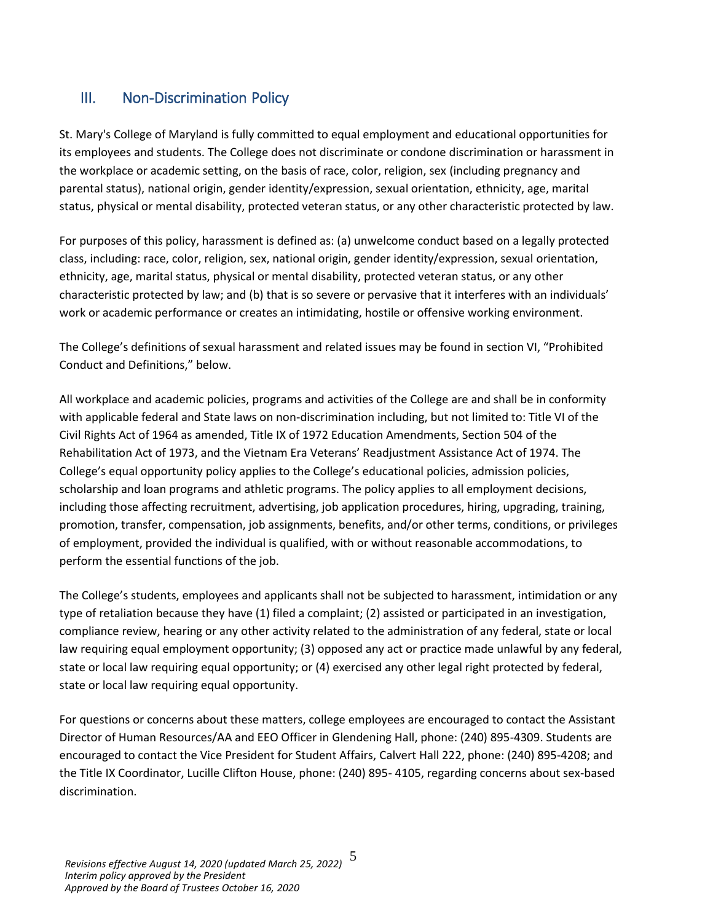# <span id="page-4-0"></span>III. Non-Discrimination Policy

St. Mary's College of Maryland is fully committed to equal employment and educational opportunities for its employees and students. The College does not discriminate or condone discrimination or harassment in the workplace or academic setting, on the basis of race, color, religion, sex (including pregnancy and parental status), national origin, gender identity/expression, sexual orientation, ethnicity, age, marital status, physical or mental disability, protected veteran status, or any other characteristic protected by law.

For purposes of this policy, harassment is defined as: (a) unwelcome conduct based on a legally protected class, including: race, color, religion, sex, national origin, gender identity/expression, sexual orientation, ethnicity, age, marital status, physical or mental disability, protected veteran status, or any other characteristic protected by law; and (b) that is so severe or pervasive that it interferes with an individuals' work or academic performance or creates an intimidating, hostile or offensive working environment.

The College's definitions of sexual harassment and related issues may be found in section VI, "Prohibited Conduct and Definitions," below.

All workplace and academic policies, programs and activities of the College are and shall be in conformity with applicable federal and State laws on non-discrimination including, but not limited to: Title VI of the Civil Rights Act of 1964 as amended, Title IX of 1972 Education Amendments, Section 504 of the Rehabilitation Act of 1973, and the Vietnam Era Veterans' Readjustment Assistance Act of 1974. The College's equal opportunity policy applies to the College's educational policies, admission policies, scholarship and loan programs and athletic programs. The policy applies to all employment decisions, including those affecting recruitment, advertising, job application procedures, hiring, upgrading, training, promotion, transfer, compensation, job assignments, benefits, and/or other terms, conditions, or privileges of employment, provided the individual is qualified, with or without reasonable accommodations, to perform the essential functions of the job.

The College's students, employees and applicants shall not be subjected to harassment, intimidation or any type of retaliation because they have (1) filed a complaint; (2) assisted or participated in an investigation, compliance review, hearing or any other activity related to the administration of any federal, state or local law requiring equal employment opportunity; (3) opposed any act or practice made unlawful by any federal, state or local law requiring equal opportunity; or (4) exercised any other legal right protected by federal, state or local law requiring equal opportunity.

For questions or concerns about these matters, college employees are encouraged to contact the Assistant Director of Human Resources/AA and EEO Officer in Glendening Hall, phone: (240) 895-4309. Students are encouraged to contact the Vice President for Student Affairs, Calvert Hall 222, phone: (240) 895-4208; and the Title IX Coordinator, Lucille Clifton House, phone: (240) 895- 4105, regarding concerns about sex-based discrimination.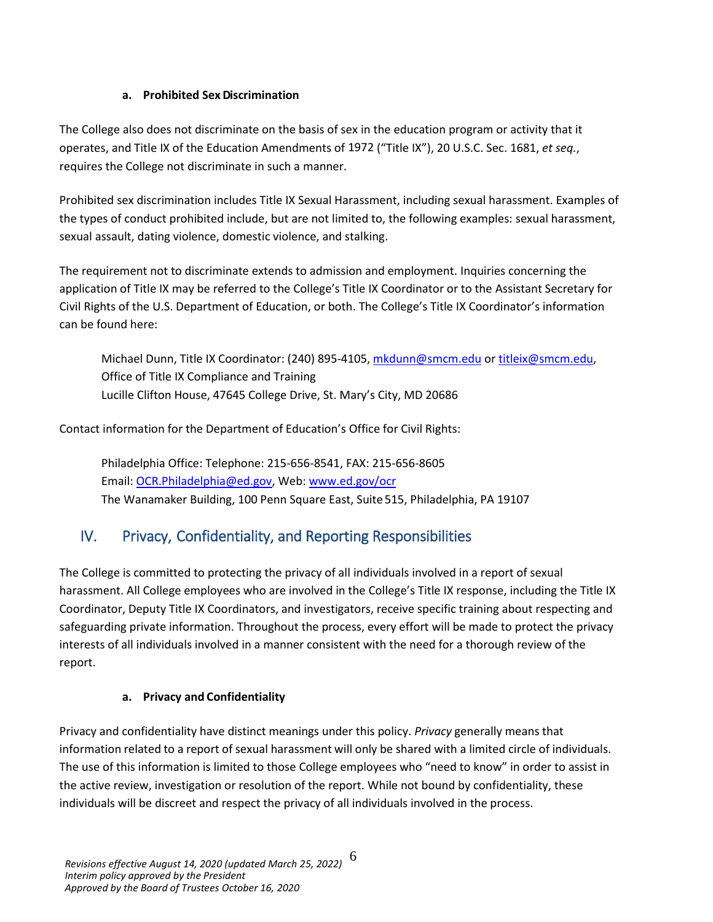### **a. Prohibited Sex Discrimination**

<span id="page-5-0"></span>The College also does not discriminate on the basis of sex in the education program or activity that it operates, and Title IX of the Education Amendments of 1972 ("Title IX"), 20 U.S.C. Sec. 1681, *et seq.*, requires the College not discriminate in such a manner.

Prohibited sex discrimination includes Title IX Sexual Harassment, including sexual harassment. Examples of the types of conduct prohibited include, but are not limited to, the following examples: sexual harassment, sexual assault, dating violence, domestic violence, and stalking.

The requirement not to discriminate extends to admission and employment. Inquiries concerning the application of Title IX may be referred to the College's Title IX Coordinator or to the Assistant Secretary for Civil Rights of the U.S. Department of Education, or both. The College's Title IX Coordinator's information can be found here:

Michael Dunn, Title IX Coordinator: (240) 895-4105[, mkdunn@smcm.edu](mailto:mkdunn@smcm.edu) or [titleix@smcm.edu,](mailto:titleix@smcm.edu) Office of Title IX Compliance and Training Lucille Clifton House, 47645 College Drive, St. Mary's City, MD 20686

Contact information for the Department of Education's Office for Civil Rights:

Philadelphia Office: Telephone: 215-656-8541, FAX: 215-656-8605 Em[ail: OCR.Philadelphia@ed.gov,](mailto:OCR.Philadelphia@ed.gov) Web: [www.ed.gov/ocr](http://www.ed.gov/ocr) The Wanamaker Building, 100 Penn Square East, Suite 515, Philadelphia, PA 19107

# <span id="page-5-1"></span>IV. Privacy, Confidentiality, and Reporting Responsibilities

The College is committed to protecting the privacy of all individuals involved in a report of sexual harassment. All College employees who are involved in the College's Title IX response, including the Title IX Coordinator, Deputy Title IX Coordinators, and investigators, receive specific training about respecting and safeguarding private information. Throughout the process, every effort will be made to protect the privacy interests of all individuals involved in a manner consistent with the need for a thorough review of the report.

### **a. Privacy and Confidentiality**

<span id="page-5-2"></span>Privacy and confidentiality have distinct meanings under this policy. *Privacy* generally means that information related to a report of sexual harassment will only be shared with a limited circle of individuals. The use of this information is limited to those College employees who "need to know" in order to assist in the active review, investigation or resolution of the report. While not bound by confidentiality, these individuals will be discreet and respect the privacy of all individuals involved in the process.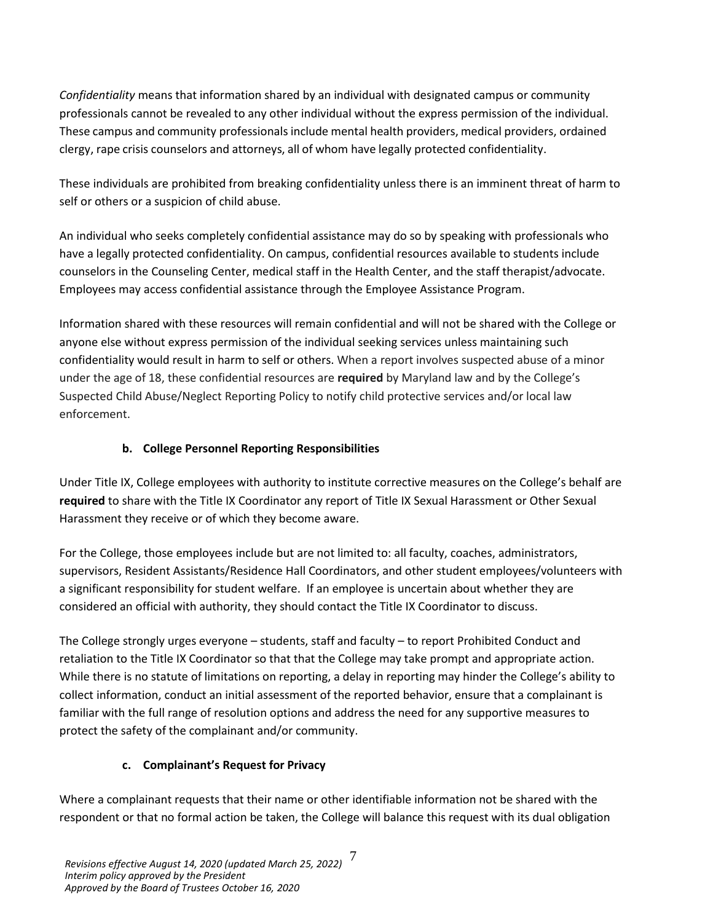*Confidentiality* means that information shared by an individual with designated campus or community professionals cannot be revealed to any other individual without the express permission of the individual. These campus and community professionals include mental health providers, medical providers, ordained clergy, rape crisis counselors and attorneys, all of whom have legally protected confidentiality.

These individuals are prohibited from breaking confidentiality unless there is an imminent threat of harm to self or others or a suspicion of child abuse.

An individual who seeks completely confidential assistance may do so by speaking with professionals who have a legally protected confidentiality. On campus, confidential resources available to students include counselors in the Counseling Center, medical staff in the Health Center, and the staff therapist/advocate. Employees may access confidential assistance through the Employee Assistance Program.

Information shared with these resources will remain confidential and will not be shared with the College or anyone else without express permission of the individual seeking services unless maintaining such confidentiality would result in harm to self or others. When a report involves suspected abuse of a minor under the age of 18, these confidential resources are **required** by Maryland law and by the College's Suspected Child Abuse/Neglect Reporting Policy to notify child protective services and/or local law enforcement.

## **b. College Personnel Reporting Responsibilities**

<span id="page-6-0"></span>Under Title IX, College employees with authority to institute corrective measures on the College's behalf are **required** to share with the Title IX Coordinator any report of Title IX Sexual Harassment or Other Sexual Harassment they receive or of which they become aware.

For the College, those employees include but are not limited to: all faculty, coaches, administrators, supervisors, Resident Assistants/Residence Hall Coordinators, and other student employees/volunteers with a significant responsibility for student welfare. If an employee is uncertain about whether they are considered an official with authority, they should contact the Title IX Coordinator to discuss.

The College strongly urges everyone – students, staff and faculty – to report Prohibited Conduct and retaliation to the Title IX Coordinator so that that the College may take prompt and appropriate action. While there is no statute of limitations on reporting, a delay in reporting may hinder the College's ability to collect information, conduct an initial assessment of the reported behavior, ensure that a complainant is familiar with the full range of resolution options and address the need for any supportive measures to protect the safety of the complainant and/or community.

# **c. Complainant's Request for Privacy**

<span id="page-6-1"></span>Where a complainant requests that their name or other identifiable information not be shared with the respondent or that no formal action be taken, the College will balance this request with its dual obligation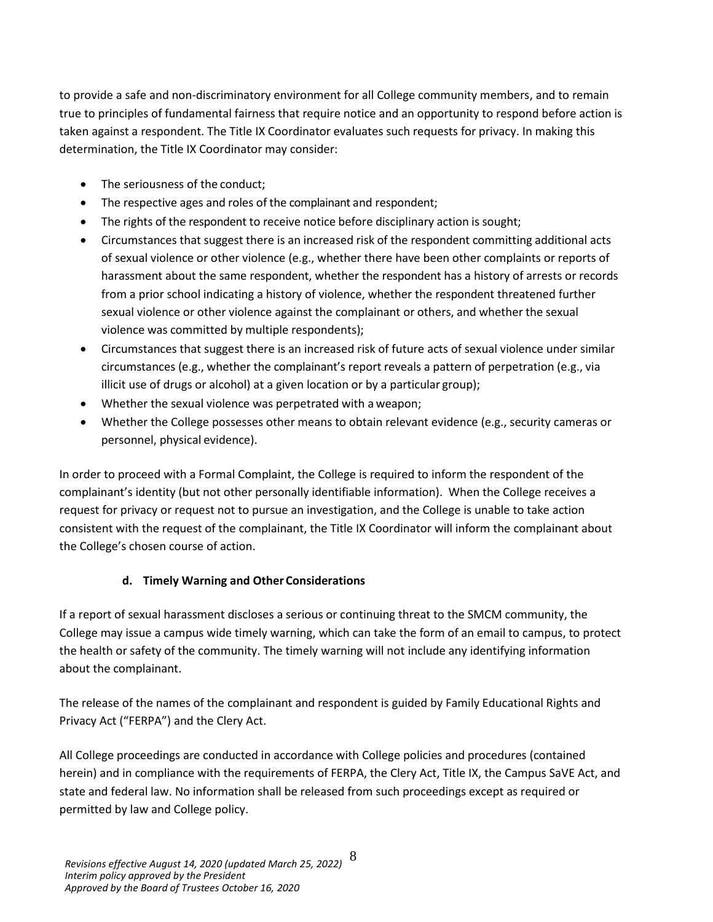to provide a safe and non-discriminatory environment for all College community members, and to remain true to principles of fundamental fairness that require notice and an opportunity to respond before action is taken against a respondent. The Title IX Coordinator evaluates such requests for privacy. In making this determination, the Title IX Coordinator may consider:

- The seriousness of the conduct;
- The respective ages and roles of the complainant and respondent;
- The rights of the respondent to receive notice before disciplinary action is sought;
- Circumstances that suggest there is an increased risk of the respondent committing additional acts of sexual violence or other violence (e.g., whether there have been other complaints or reports of harassment about the same respondent, whether the respondent has a history of arrests or records from a prior school indicating a history of violence, whether the respondent threatened further sexual violence or other violence against the complainant or others, and whether the sexual violence was committed by multiple respondents);
- Circumstances that suggest there is an increased risk of future acts of sexual violence under similar circumstances (e.g., whether the complainant's report reveals a pattern of perpetration (e.g., via illicit use of drugs or alcohol) at a given location or by a particular group);
- Whether the sexual violence was perpetrated with a weapon;
- Whether the College possesses other means to obtain relevant evidence (e.g., security cameras or personnel, physical evidence).

In order to proceed with a Formal Complaint, the College is required to inform the respondent of the complainant's identity (but not other personally identifiable information). When the College receives a request for privacy or request not to pursue an investigation, and the College is unable to take action consistent with the request of the complainant, the Title IX Coordinator will inform the complainant about the College's chosen course of action.

### **d. Timely Warning and Other Considerations**

<span id="page-7-0"></span>If a report of sexual harassment discloses a serious or continuing threat to the SMCM community, the College may issue a campus wide timely warning, which can take the form of an email to campus, to protect the health or safety of the community. The timely warning will not include any identifying information about the complainant.

The release of the names of the complainant and respondent is guided by Family Educational Rights and Privacy Act ("FERPA") and the Clery Act.

All College proceedings are conducted in accordance with College policies and procedures (contained herein) and in compliance with the requirements of FERPA, the Clery Act, Title IX, the Campus SaVE Act, and state and federal law. No information shall be released from such proceedings except as required or permitted by law and College policy.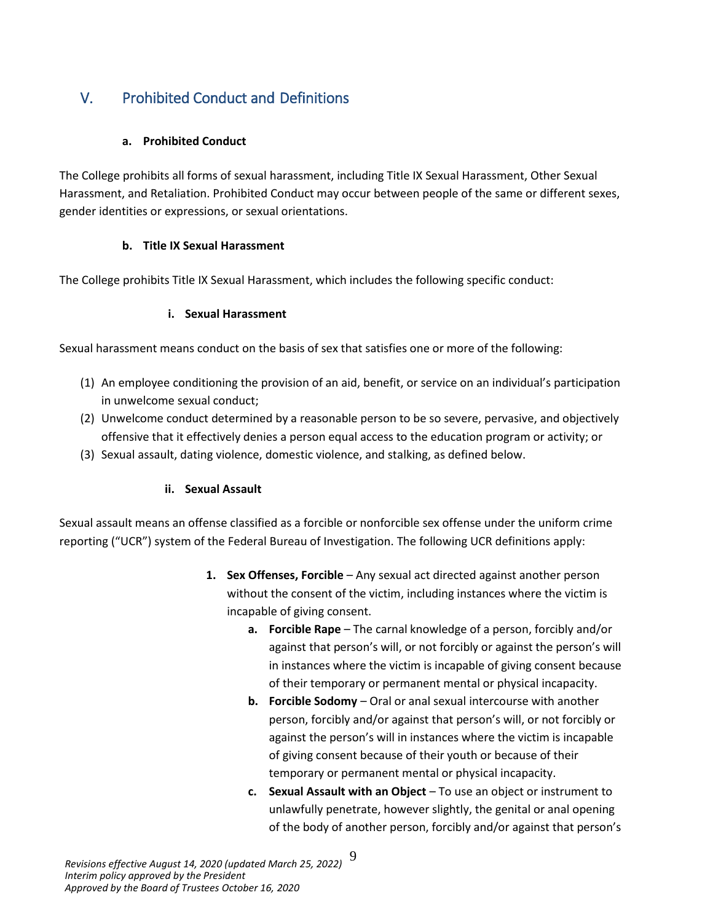# <span id="page-8-0"></span>V. Prohibited Conduct and Definitions

### **a. Prohibited Conduct**

<span id="page-8-1"></span>The College prohibits all forms of sexual harassment, including Title IX Sexual Harassment, Other Sexual Harassment, and Retaliation. Prohibited Conduct may occur between people of the same or different sexes, gender identities or expressions, or sexual orientations.

### **b. Title IX Sexual Harassment**

<span id="page-8-2"></span>The College prohibits Title IX Sexual Harassment, which includes the following specific conduct:

### **i. Sexual Harassment**

Sexual harassment means conduct on the basis of sex that satisfies one or more of the following:

- (1) An employee conditioning the provision of an aid, benefit, or service on an individual's participation in unwelcome sexual conduct;
- (2) Unwelcome conduct determined by a reasonable person to be so severe, pervasive, and objectively offensive that it effectively denies a person equal access to the education program or activity; or
- (3) Sexual assault, dating violence, domestic violence, and stalking, as defined below.

## **ii. Sexual Assault**

Sexual assault means an offense classified as a forcible or nonforcible sex offense under the uniform crime reporting ("UCR") system of the Federal Bureau of Investigation. The following UCR definitions apply:

- **1. Sex Offenses, Forcible** Any sexual act directed against another person without the consent of the victim, including instances where the victim is incapable of giving consent.
	- **a. Forcible Rape** The carnal knowledge of a person, forcibly and/or against that person's will, or not forcibly or against the person's will in instances where the victim is incapable of giving consent because of their temporary or permanent mental or physical incapacity.
	- **b. Forcible Sodomy** Oral or anal sexual intercourse with another person, forcibly and/or against that person's will, or not forcibly or against the person's will in instances where the victim is incapable of giving consent because of their youth or because of their temporary or permanent mental or physical incapacity.
	- **c. Sexual Assault with an Object** To use an object or instrument to unlawfully penetrate, however slightly, the genital or anal opening of the body of another person, forcibly and/or against that person's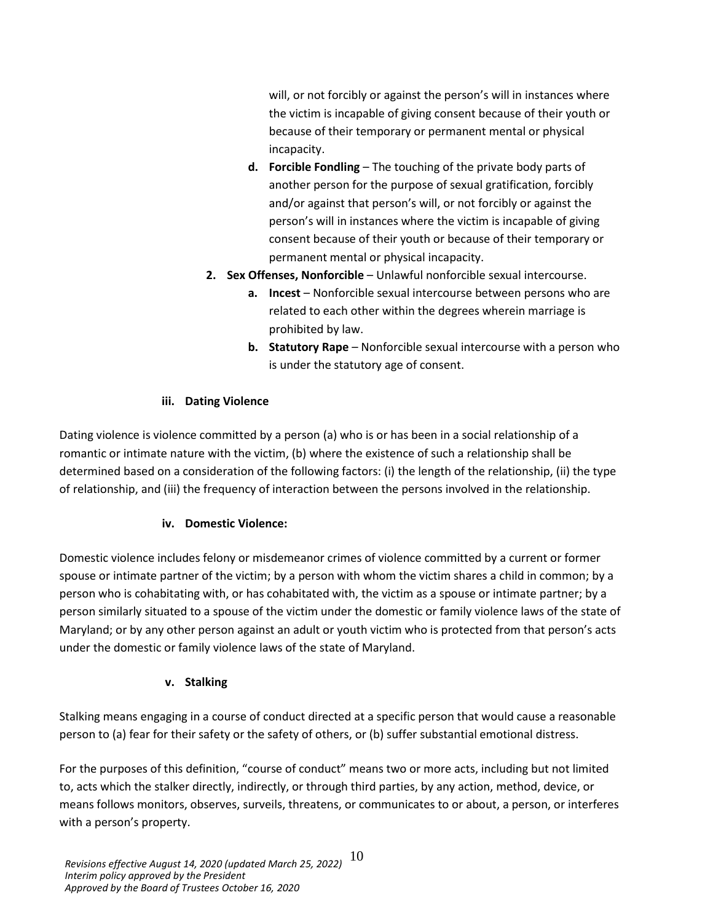will, or not forcibly or against the person's will in instances where the victim is incapable of giving consent because of their youth or because of their temporary or permanent mental or physical incapacity.

- **d. Forcible Fondling** The touching of the private body parts of another person for the purpose of sexual gratification, forcibly and/or against that person's will, or not forcibly or against the person's will in instances where the victim is incapable of giving consent because of their youth or because of their temporary or permanent mental or physical incapacity.
- **2. Sex Offenses, Nonforcible** Unlawful nonforcible sexual intercourse.
	- **a. Incest** Nonforcible sexual intercourse between persons who are related to each other within the degrees wherein marriage is prohibited by law.
	- **b. Statutory Rape** Nonforcible sexual intercourse with a person who is under the statutory age of consent.

### **iii. Dating Violence**

Dating violence is violence committed by a person (a) who is or has been in a social relationship of a romantic or intimate nature with the victim, (b) where the existence of such a relationship shall be determined based on a consideration of the following factors: (i) the length of the relationship, (ii) the type of relationship, and (iii) the frequency of interaction between the persons involved in the relationship.

#### **iv. Domestic Violence:**

Domestic violence includes felony or misdemeanor crimes of violence committed by a current or former spouse or intimate partner of the victim; by a person with whom the victim shares a child in common; by a person who is cohabitating with, or has cohabitated with, the victim as a spouse or intimate partner; by a person similarly situated to a spouse of the victim under the domestic or family violence laws of the state of Maryland; or by any other person against an adult or youth victim who is protected from that person's acts under the domestic or family violence laws of the state of Maryland.

#### **v. Stalking**

Stalking means engaging in a course of conduct directed at a specific person that would cause a reasonable person to (a) fear for their safety or the safety of others, or (b) suffer substantial emotional distress.

For the purposes of this definition, "course of conduct" means two or more acts, including but not limited to, acts which the stalker directly, indirectly, or through third parties, by any action, method, device, or means follows monitors, observes, surveils, threatens, or communicates to or about, a person, or interferes with a person's property.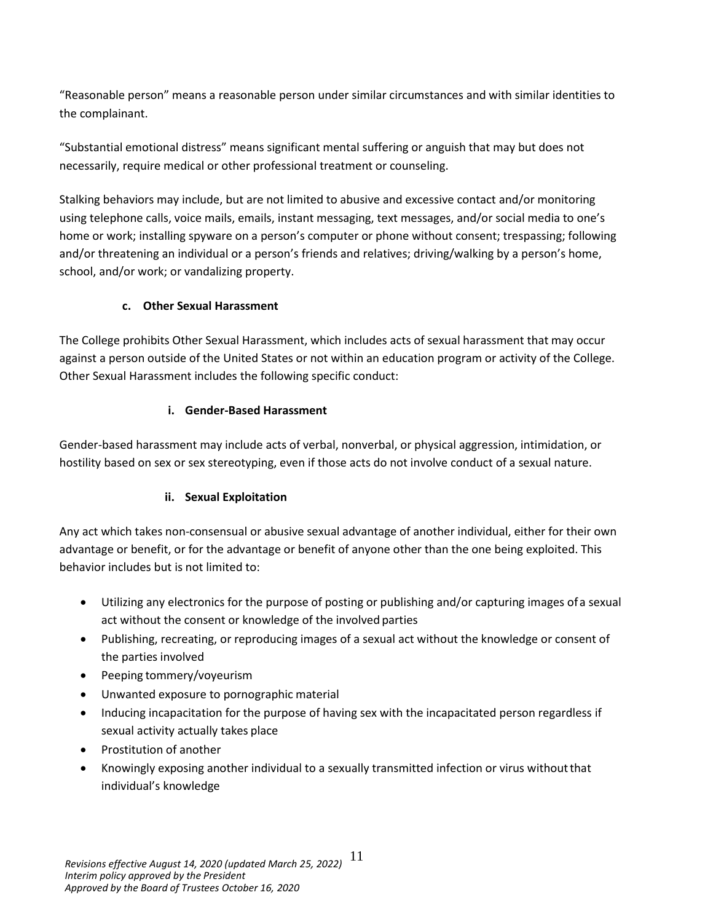"Reasonable person" means a reasonable person under similar circumstances and with similar identities to the complainant.

"Substantial emotional distress" means significant mental suffering or anguish that may but does not necessarily, require medical or other professional treatment or counseling.

Stalking behaviors may include, but are not limited to abusive and excessive contact and/or monitoring using telephone calls, voice mails, emails, instant messaging, text messages, and/or social media to one's home or work; installing spyware on a person's computer or phone without consent; trespassing; following and/or threatening an individual or a person's friends and relatives; driving/walking by a person's home, school, and/or work; or vandalizing property.

### **c. Other Sexual Harassment**

<span id="page-10-0"></span>The College prohibits Other Sexual Harassment, which includes acts of sexual harassment that may occur against a person outside of the United States or not within an education program or activity of the College. Other Sexual Harassment includes the following specific conduct:

### **i. Gender-Based Harassment**

Gender-based harassment may include acts of verbal, nonverbal, or physical aggression, intimidation, or hostility based on sex or sex stereotyping, even if those acts do not involve conduct of a sexual nature.

## **ii. Sexual Exploitation**

Any act which takes non-consensual or abusive sexual advantage of another individual, either for their own advantage or benefit, or for the advantage or benefit of anyone other than the one being exploited. This behavior includes but is not limited to:

- Utilizing any electronics for the purpose of posting or publishing and/or capturing images ofa sexual act without the consent or knowledge of the involved parties
- Publishing, recreating, or reproducing images of a sexual act without the knowledge or consent of the parties involved
- Peeping tommery/voyeurism
- Unwanted exposure to pornographic material
- Inducing incapacitation for the purpose of having sex with the incapacitated person regardless if sexual activity actually takes place
- Prostitution of another
- Knowingly exposing another individual to a sexually transmitted infection or virus withoutthat individual's knowledge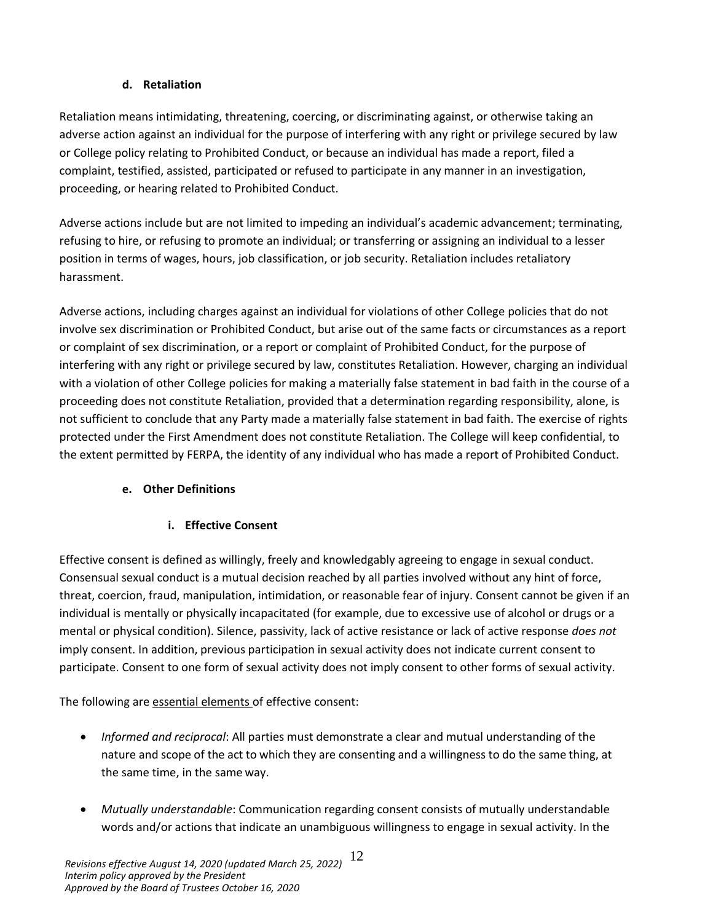### **d. Retaliation**

<span id="page-11-0"></span>Retaliation means intimidating, threatening, coercing, or discriminating against, or otherwise taking an adverse action against an individual for the purpose of interfering with any right or privilege secured by law or College policy relating to Prohibited Conduct, or because an individual has made a report, filed a complaint, testified, assisted, participated or refused to participate in any manner in an investigation, proceeding, or hearing related to Prohibited Conduct.

Adverse actions include but are not limited to impeding an individual's academic advancement; terminating, refusing to hire, or refusing to promote an individual; or transferring or assigning an individual to a lesser position in terms of wages, hours, job classification, or job security. Retaliation includes retaliatory harassment.

Adverse actions, including charges against an individual for violations of other College policies that do not involve sex discrimination or Prohibited Conduct, but arise out of the same facts or circumstances as a report or complaint of sex discrimination, or a report or complaint of Prohibited Conduct, for the purpose of interfering with any right or privilege secured by law, constitutes Retaliation. However, charging an individual with a violation of other College policies for making a materially false statement in bad faith in the course of a proceeding does not constitute Retaliation, provided that a determination regarding responsibility, alone, is not sufficient to conclude that any Party made a materially false statement in bad faith. The exercise of rights protected under the First Amendment does not constitute Retaliation. The College will keep confidential, to the extent permitted by FERPA, the identity of any individual who has made a report of Prohibited Conduct.

## <span id="page-11-1"></span>**e. Other Definitions**

## **i. Effective Consent**

Effective consent is defined as willingly, freely and knowledgably agreeing to engage in sexual conduct. Consensual sexual conduct is a mutual decision reached by all parties involved without any hint of force, threat, coercion, fraud, manipulation, intimidation, or reasonable fear of injury. Consent cannot be given if an individual is mentally or physically incapacitated (for example, due to excessive use of alcohol or drugs or a mental or physical condition). Silence, passivity, lack of active resistance or lack of active response *does not*  imply consent. In addition, previous participation in sexual activity does not indicate current consent to participate. Consent to one form of sexual activity does not imply consent to other forms of sexual activity.

The following are essential elements of effective consent:

- *Informed and reciprocal*: All parties must demonstrate a clear and mutual understanding of the nature and scope of the act to which they are consenting and a willingness to do the same thing, at the same time, in the same way.
- *Mutually understandable*: Communication regarding consent consists of mutually understandable words and/or actions that indicate an unambiguous willingness to engage in sexual activity. In the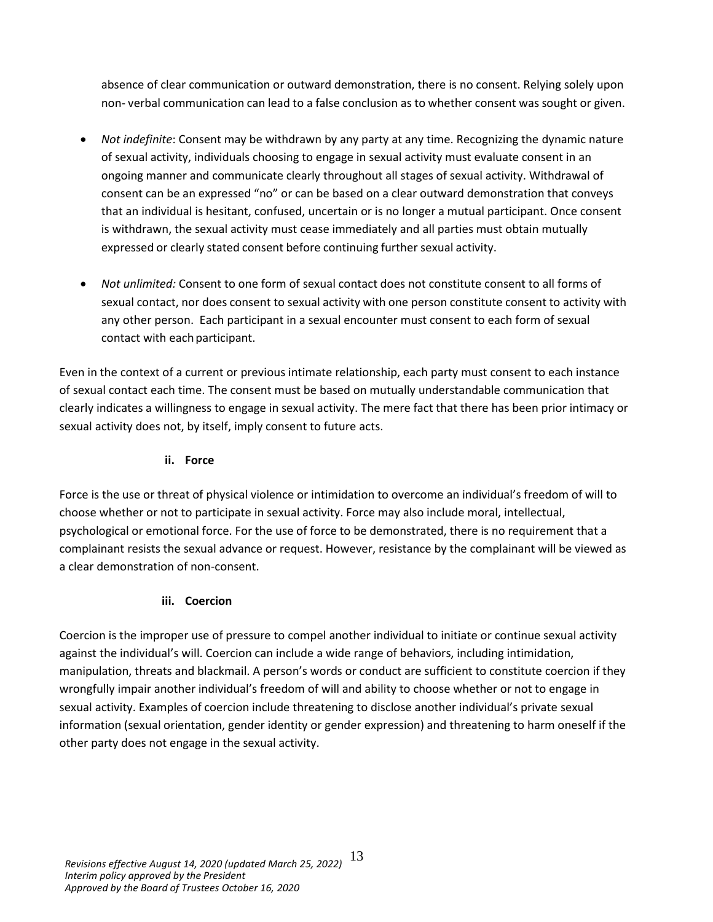absence of clear communication or outward demonstration, there is no consent. Relying solely upon non- verbal communication can lead to a false conclusion as to whether consent was sought or given.

- *Not indefinite*: Consent may be withdrawn by any party at any time. Recognizing the dynamic nature of sexual activity, individuals choosing to engage in sexual activity must evaluate consent in an ongoing manner and communicate clearly throughout all stages of sexual activity. Withdrawal of consent can be an expressed "no" or can be based on a clear outward demonstration that conveys that an individual is hesitant, confused, uncertain or is no longer a mutual participant. Once consent is withdrawn, the sexual activity must cease immediately and all parties must obtain mutually expressed or clearly stated consent before continuing further sexual activity.
- *Not unlimited:* Consent to one form of sexual contact does not constitute consent to all forms of sexual contact, nor does consent to sexual activity with one person constitute consent to activity with any other person. Each participant in a sexual encounter must consent to each form of sexual contact with each participant.

Even in the context of a current or previous intimate relationship, each party must consent to each instance of sexual contact each time. The consent must be based on mutually understandable communication that clearly indicates a willingness to engage in sexual activity. The mere fact that there has been prior intimacy or sexual activity does not, by itself, imply consent to future acts.

### **ii. Force**

Force is the use or threat of physical violence or intimidation to overcome an individual's freedom of will to choose whether or not to participate in sexual activity. Force may also include moral, intellectual, psychological or emotional force. For the use of force to be demonstrated, there is no requirement that a complainant resists the sexual advance or request. However, resistance by the complainant will be viewed as a clear demonstration of non-consent.

### **iii. Coercion**

Coercion is the improper use of pressure to compel another individual to initiate or continue sexual activity against the individual's will. Coercion can include a wide range of behaviors, including intimidation, manipulation, threats and blackmail. A person's words or conduct are sufficient to constitute coercion if they wrongfully impair another individual's freedom of will and ability to choose whether or not to engage in sexual activity. Examples of coercion include threatening to disclose another individual's private sexual information (sexual orientation, gender identity or gender expression) and threatening to harm oneself if the other party does not engage in the sexual activity.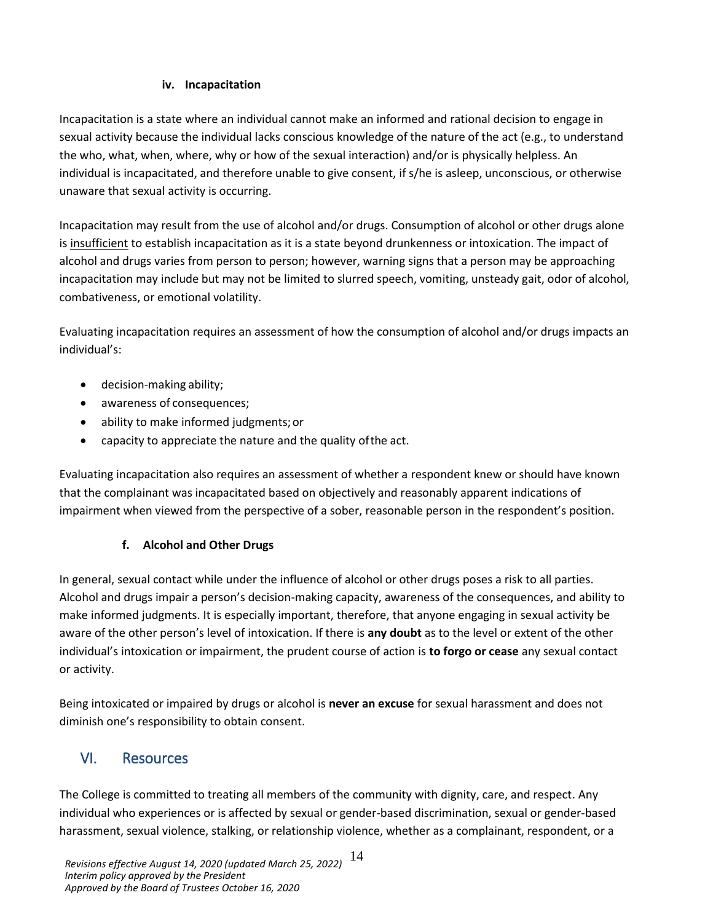### **iv. Incapacitation**

Incapacitation is a state where an individual cannot make an informed and rational decision to engage in sexual activity because the individual lacks conscious knowledge of the nature of the act (e.g., to understand the who, what, when, where, why or how of the sexual interaction) and/or is physically helpless. An individual is incapacitated, and therefore unable to give consent, if s/he is asleep, unconscious, or otherwise unaware that sexual activity is occurring.

Incapacitation may result from the use of alcohol and/or drugs. Consumption of alcohol or other drugs alone is insufficient to establish incapacitation as it is a state beyond drunkenness or intoxication. The impact of alcohol and drugs varies from person to person; however, warning signs that a person may be approaching incapacitation may include but may not be limited to slurred speech, vomiting, unsteady gait, odor of alcohol, combativeness, or emotional volatility.

Evaluating incapacitation requires an assessment of how the consumption of alcohol and/or drugs impacts an individual's:

- decision-making ability;
- awareness of consequences;
- ability to make informed judgments;or
- capacity to appreciate the nature and the quality ofthe act.

Evaluating incapacitation also requires an assessment of whether a respondent knew or should have known that the complainant was incapacitated based on objectively and reasonably apparent indications of impairment when viewed from the perspective of a sober, reasonable person in the respondent's position.

## **f. Alcohol and Other Drugs**

In general, sexual contact while under the influence of alcohol or other drugs poses a risk to all parties. Alcohol and drugs impair a person's decision-making capacity, awareness of the consequences, and ability to make informed judgments. It is especially important, therefore, that anyone engaging in sexual activity be aware of the other person's level of intoxication. If there is **any doubt** as to the level or extent of the other individual's intoxication or impairment, the prudent course of action is **to forgo or cease** any sexual contact or activity.

Being intoxicated or impaired by drugs or alcohol is **never an excuse** for sexual harassment and does not diminish one's responsibility to obtain consent.

# <span id="page-13-0"></span>VI. Resources

The College is committed to treating all members of the community with dignity, care, and respect. Any individual who experiences or is affected by sexual or gender-based discrimination, sexual or gender-based harassment, sexual violence, stalking, or relationship violence, whether as a complainant, respondent, or a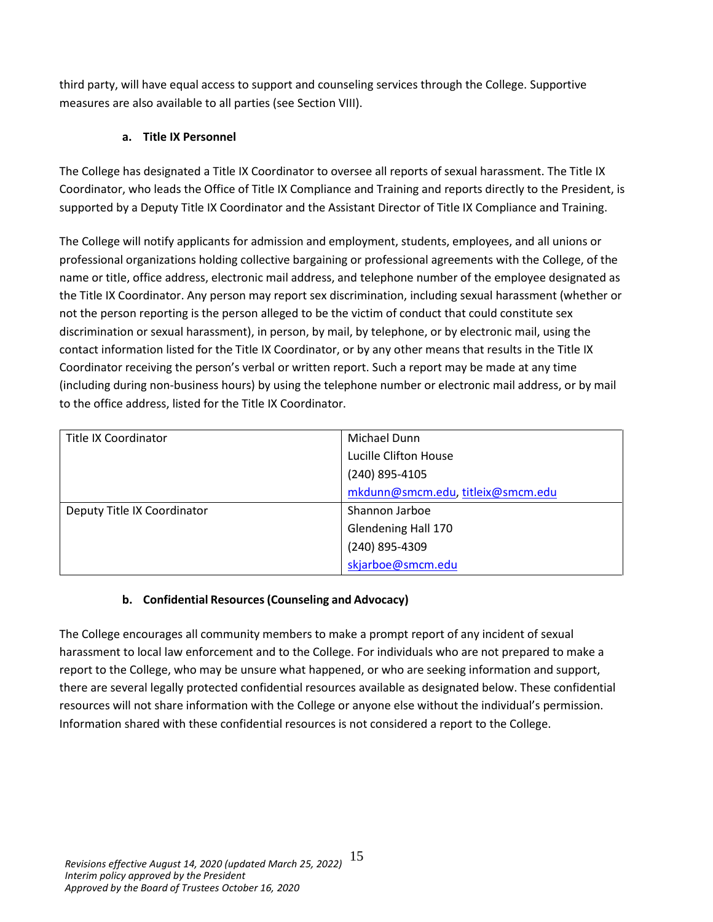third party, will have equal access to support and counseling services through the College. Supportive measures are also available to all parties (see Section VIII).

# **a. Title IX Personnel**

<span id="page-14-0"></span>The College has designated a Title IX Coordinator to oversee all reports of sexual harassment. The Title IX Coordinator, who leads the Office of Title IX Compliance and Training and reports directly to the President, is supported by a Deputy Title IX Coordinator and the Assistant Director of Title IX Compliance and Training.

The College will notify applicants for admission and employment, students, employees, and all unions or professional organizations holding collective bargaining or professional agreements with the College, of the name or title, office address, electronic mail address, and telephone number of the employee designated as the Title IX Coordinator. Any person may report sex discrimination, including sexual harassment (whether or not the person reporting is the person alleged to be the victim of conduct that could constitute sex discrimination or sexual harassment), in person, by mail, by telephone, or by electronic mail, using the contact information listed for the Title IX Coordinator, or by any other means that results in the Title IX Coordinator receiving the person's verbal or written report. Such a report may be made at any time (including during non-business hours) by using the telephone number or electronic mail address, or by mail to the office address, listed for the Title IX Coordinator.

| <b>Title IX Coordinator</b> | Michael Dunn                      |
|-----------------------------|-----------------------------------|
|                             | Lucille Clifton House             |
|                             | (240) 895-4105                    |
|                             | mkdunn@smcm.edu, titleix@smcm.edu |
| Deputy Title IX Coordinator | Shannon Jarboe                    |
|                             | Glendening Hall 170               |
|                             | (240) 895-4309                    |
|                             | skjarboe@smcm.edu                 |

# **b. Confidential Resources(Counseling and Advocacy)**

<span id="page-14-1"></span>The College encourages all community members to make a prompt report of any incident of sexual harassment to local law enforcement and to the College. For individuals who are not prepared to make a report to the College, who may be unsure what happened, or who are seeking information and support, there are several legally protected confidential resources available as designated below. These confidential resources will not share information with the College or anyone else without the individual's permission. Information shared with these confidential resources is not considered a report to the College.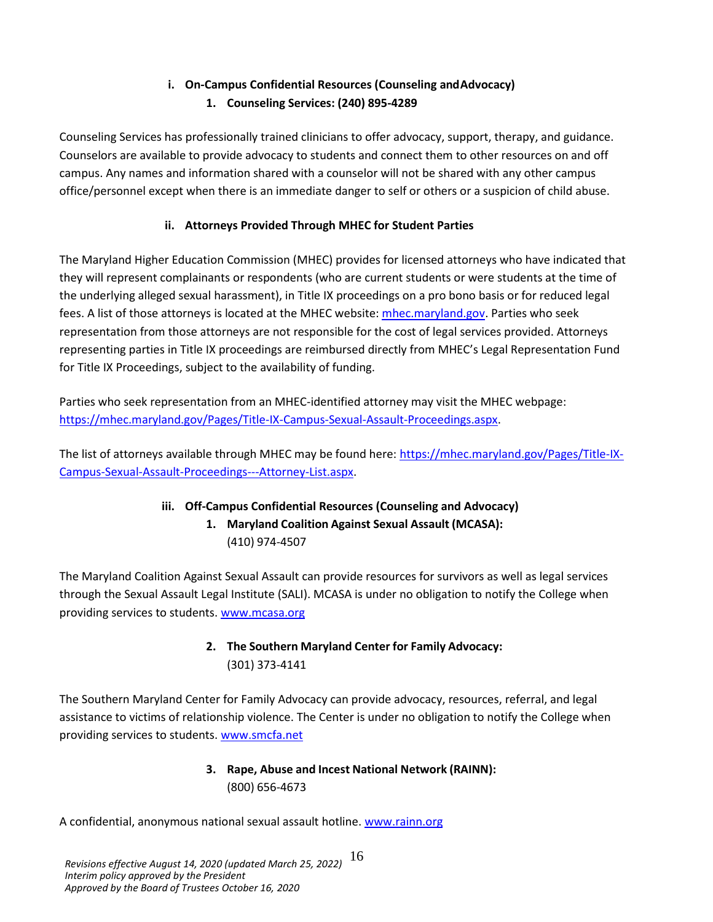# **i. On-Campus Confidential Resources (Counseling andAdvocacy) 1. Counseling Services: (240) 895-4289**

Counseling Services has professionally trained clinicians to offer advocacy, support, therapy, and guidance. Counselors are available to provide advocacy to students and connect them to other resources on and off campus. Any names and information shared with a counselor will not be shared with any other campus office/personnel except when there is an immediate danger to self or others or a suspicion of child abuse.

# **ii. Attorneys Provided Through MHEC for Student Parties**

The Maryland Higher Education Commission (MHEC) provides for licensed attorneys who have indicated that they will represent complainants or respondents (who are current students or were students at the time of the underlying alleged sexual harassment), in Title IX proceedings on a pro bono basis or for reduced legal fees. A list of those attorneys is located at the MHEC website: [mhec.maryland.gov.](https://mhec.maryland.gov/Pages/default.aspx) Parties who seek representation from those attorneys are not responsible for the cost of legal services provided. Attorneys representing parties in Title IX proceedings are reimbursed directly from MHEC's Legal Representation Fund for Title IX Proceedings, subject to the availability of funding.

Parties who seek representation from an MHEC-identified attorney may visit the MHEC webpage: [https://mhec.maryland.gov/Pages/Title-IX-Campus-Sexual-Assault-Proceedings.aspx.](https://mhec.maryland.gov/Pages/Title-IX-Campus-Sexual-Assault-Proceedings.aspx)

The list of attorneys available through MHEC may be found here: [https://mhec.maryland.gov/Pages/Title-IX-](https://mhec.maryland.gov/Pages/Title-IX-Campus-Sexual-Assault-Proceedings---Attorney-List.aspx)[Campus-Sexual-Assault-Proceedings---Attorney-List.aspx.](https://mhec.maryland.gov/Pages/Title-IX-Campus-Sexual-Assault-Proceedings---Attorney-List.aspx)

# **iii. Off-Campus Confidential Resources (Counseling and Advocacy) 1. Maryland Coalition Against Sexual Assault (MCASA):**

(410) 974-4507

The Maryland Coalition Against Sexual Assault can provide resources for survivors as well as legal services through the Sexual Assault Legal Institute (SALI). MCASA is under no obligation to notify the College when providing services to students[. www.mcasa.org](http://www.mcasa.org/)

# **2. The Southern Maryland Center for Family Advocacy:** (301) 373-4141

The Southern Maryland Center for Family Advocacy can provide advocacy, resources, referral, and legal assistance to victims of relationship violence. The Center is under no obligation to notify the College when providing services to students[. www.smcfa.net](http://www.smcfa.net/)

# **3. Rape, Abuse and Incest National Network (RAINN):** (800) 656-4673

A confidential, anonymous national sexual assault hotline. [www.rainn.org](http://www.rainn.org/)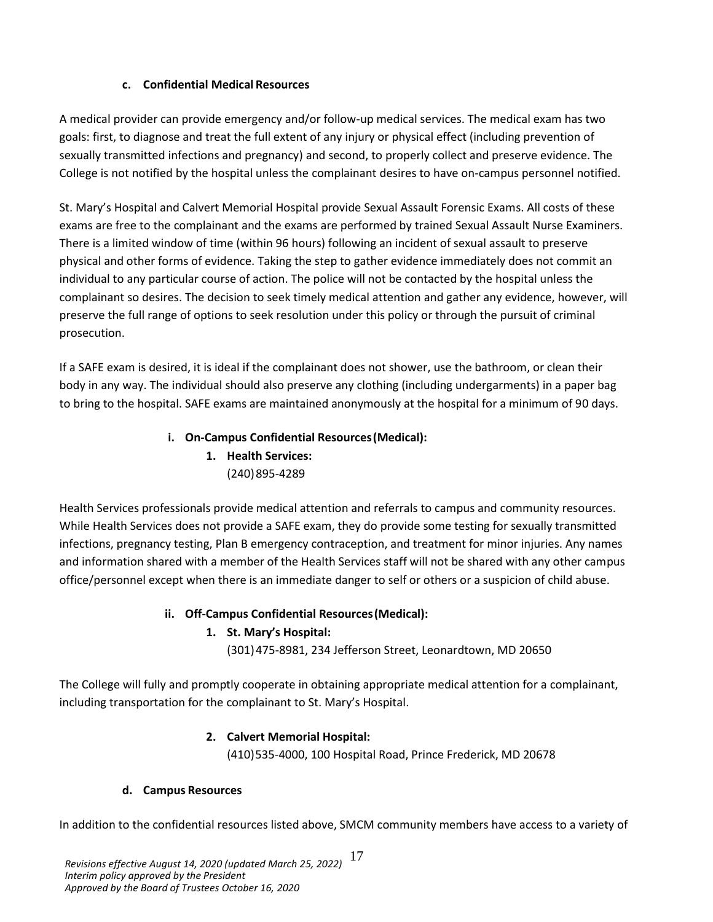### **c. Confidential Medical Resources**

<span id="page-16-0"></span>A medical provider can provide emergency and/or follow-up medical services. The medical exam has two goals: first, to diagnose and treat the full extent of any injury or physical effect (including prevention of sexually transmitted infections and pregnancy) and second, to properly collect and preserve evidence. The College is not notified by the hospital unless the complainant desires to have on-campus personnel notified.

St. Mary's Hospital and Calvert Memorial Hospital provide Sexual Assault Forensic Exams. All costs of these exams are free to the complainant and the exams are performed by trained Sexual Assault Nurse Examiners. There is a limited window of time (within 96 hours) following an incident of sexual assault to preserve physical and other forms of evidence. Taking the step to gather evidence immediately does not commit an individual to any particular course of action. The police will not be contacted by the hospital unless the complainant so desires. The decision to seek timely medical attention and gather any evidence, however, will preserve the full range of options to seek resolution under this policy or through the pursuit of criminal prosecution.

If a SAFE exam is desired, it is ideal if the complainant does not shower, use the bathroom, or clean their body in any way. The individual should also preserve any clothing (including undergarments) in a paper bag to bring to the hospital. SAFE exams are maintained anonymously at the hospital for a minimum of 90 days.

# **i. On-Campus Confidential Resources(Medical): 1. Health Services:**  (240)895-4289

Health Services professionals provide medical attention and referrals to campus and community resources. While Health Services does not provide a SAFE exam, they do provide some testing for sexually transmitted infections, pregnancy testing, Plan B emergency contraception, and treatment for minor injuries. Any names and information shared with a member of the Health Services staff will not be shared with any other campus office/personnel except when there is an immediate danger to self or others or a suspicion of child abuse.

### **ii. Off-Campus Confidential Resources(Medical):**

## **1. St. Mary's Hospital:**

(301)475-8981, 234 Jefferson Street, Leonardtown, MD 20650

The College will fully and promptly cooperate in obtaining appropriate medical attention for a complainant, including transportation for the complainant to St. Mary's Hospital.

## **2. Calvert Memorial Hospital:**

(410)535-4000, 100 Hospital Road, Prince Frederick, MD 20678

### **d. Campus Resources**

<span id="page-16-1"></span>In addition to the confidential resources listed above, SMCM community members have access to a variety of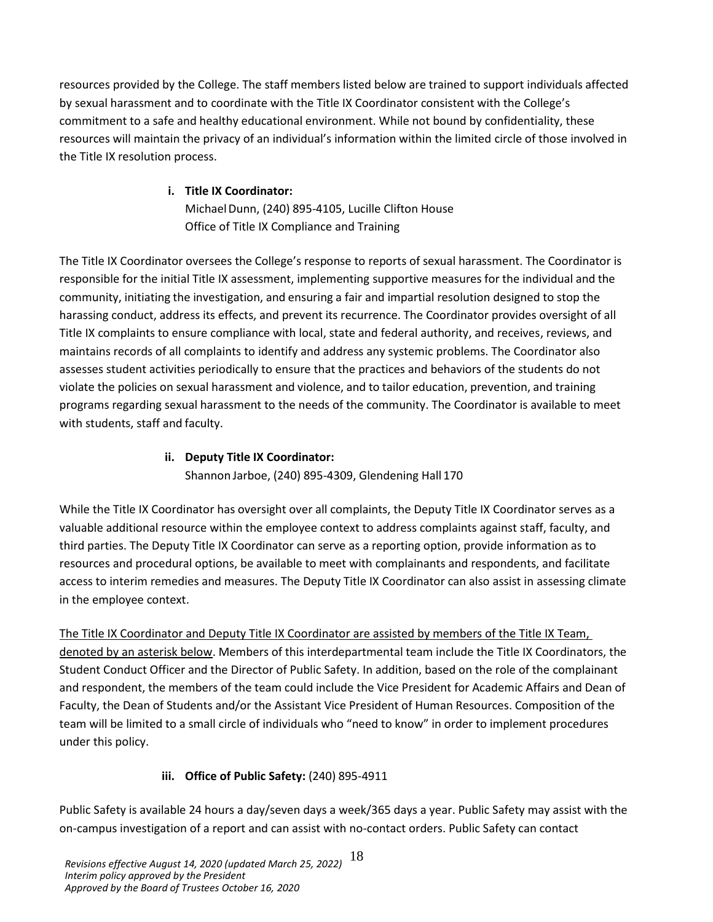resources provided by the College. The staff members listed below are trained to support individuals affected by sexual harassment and to coordinate with the Title IX Coordinator consistent with the College's commitment to a safe and healthy educational environment. While not bound by confidentiality, these resources will maintain the privacy of an individual's information within the limited circle of those involved in the Title IX resolution process.

# **i. Title IX Coordinator:**

Michael Dunn, (240) 895-4105, Lucille Clifton House Office of Title IX Compliance and Training

The Title IX Coordinator oversees the College's response to reports of sexual harassment. The Coordinator is responsible for the initial Title IX assessment, implementing supportive measures for the individual and the community, initiating the investigation, and ensuring a fair and impartial resolution designed to stop the harassing conduct, address its effects, and prevent its recurrence. The Coordinator provides oversight of all Title IX complaints to ensure compliance with local, state and federal authority, and receives, reviews, and maintains records of all complaints to identify and address any systemic problems. The Coordinator also assesses student activities periodically to ensure that the practices and behaviors of the students do not violate the policies on sexual harassment and violence, and to tailor education, prevention, and training programs regarding sexual harassment to the needs of the community. The Coordinator is available to meet with students, staff and faculty.

# **ii. Deputy Title IX Coordinator:**

Shannon Jarboe, (240) 895-4309, Glendening Hall 170

While the Title IX Coordinator has oversight over all complaints, the Deputy Title IX Coordinator serves as a valuable additional resource within the employee context to address complaints against staff, faculty, and third parties. The Deputy Title IX Coordinator can serve as a reporting option, provide information as to resources and procedural options, be available to meet with complainants and respondents, and facilitate access to interim remedies and measures. The Deputy Title IX Coordinator can also assist in assessing climate in the employee context.

The Title IX Coordinator and Deputy Title IX Coordinator are assisted by members of the Title IX Team, denoted by an asterisk below. Members of this interdepartmental team include the Title IX Coordinators, the Student Conduct Officer and the Director of Public Safety. In addition, based on the role of the complainant and respondent, the members of the team could include the Vice President for Academic Affairs and Dean of Faculty, the Dean of Students and/or the Assistant Vice President of Human Resources. Composition of the team will be limited to a small circle of individuals who "need to know" in order to implement procedures under this policy.

# **iii. Office o[f Public Safety:](http://www.oxy.edu/campus-safety)** (240) 895-4911

Public Safety is available 24 hours a day/seven days a week/365 days a year. Public Safety may assist with the on-campus investigation of a report and can assist with no-contact orders. Public Safety can contact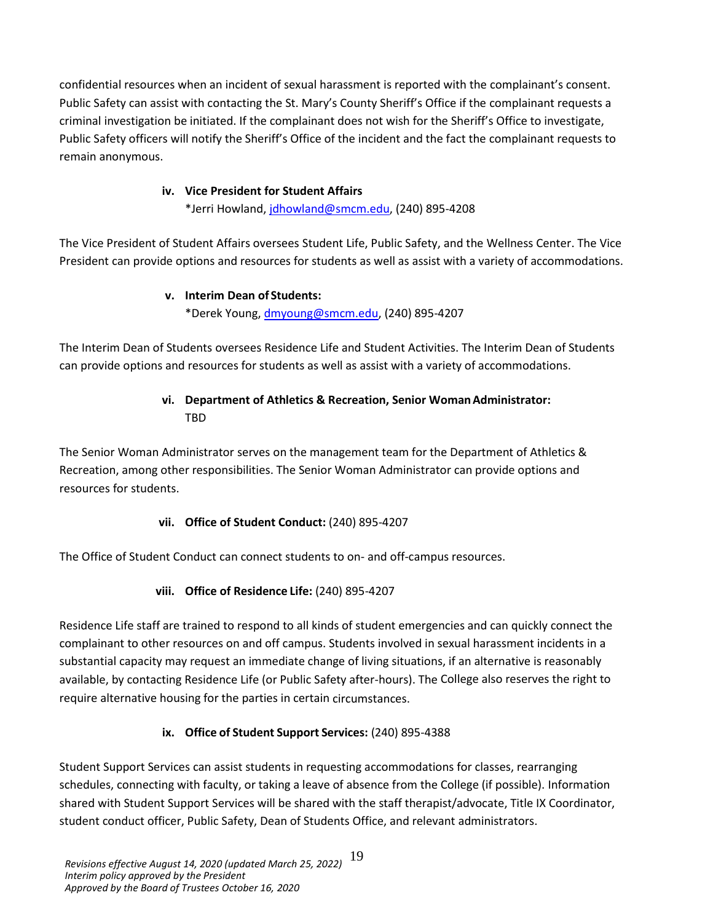confidential resources when an incident of sexual harassment is reported with the complainant's consent. Public Safety can assist with contacting the St. Mary's County Sheriff's Office if the complainant requests a criminal investigation be initiated. If the complainant does not wish for the Sheriff's Office to investigate, Public Safety officers will notify the Sheriff's Office of the incident and the fact the complainant requests to remain anonymous.

### **iv. Vice President for Student Affairs**

\*Jerri Howland, [jdhowland@smcm.edu,](mailto:jdhowland@smcm.edu) (240) 895-4208

The Vice President of Student Affairs oversees Student Life, Public Safety, and the Wellness Center. The Vice President can provide options and resources for students as well as assist with a variety of accommodations.

### **v. Interim Dean of Students:**

\*Derek Young[, dmyoung@smcm.edu,](mailto:dmyoung@smcm.edu) (240) 895-4207

The Interim Dean of Students oversees Residence Life and Student Activities. The Interim Dean of Students can provide options and resources for students as well as assist with a variety of accommodations.

# **vi. Department of Athletics & Recreation, Senior WomanAdministrator:**  TBD

The Senior Woman Administrator serves on the management team for the Department of Athletics & Recreation, among other responsibilities. The Senior Woman Administrator can provide options and resources for students.

## **vii. Office of Student Conduct:** (240) 895-4207

The Office of Student Conduct can connect students to on- and off-campus resources.

## **viii. Office of Residence Life:** (240) 895-4207

Residence Life staff are trained to respond to all kinds of student emergencies and can quickly connect the complainant to other resources on and off campus. Students involved in sexual harassment incidents in a substantial capacity may request an immediate change of living situations, if an alternative is reasonably available, by contacting Residence Life (or Public Safety after-hours). The College also reserves the right to require alternative housing for the parties in certain circumstances.

## **ix. Office of Student Support Services:** (240) 895-4388

Student Support Services can assist students in requesting accommodations for classes, rearranging schedules, connecting with faculty, or taking a leave of absence from the College (if possible). Information shared with Student Support Services will be shared with the staff therapist/advocate, Title IX Coordinator, student conduct officer, Public Safety, Dean of Students Office, and relevant administrators.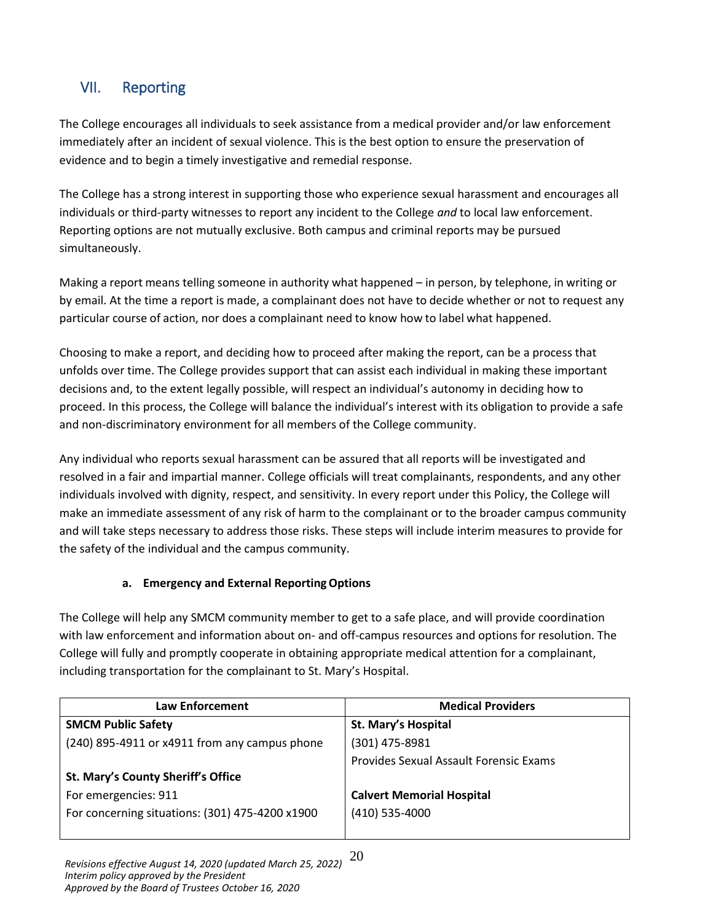# <span id="page-19-0"></span>VII. Reporting

The College encourages all individuals to seek assistance from a medical provider and/or law enforcement immediately after an incident of sexual violence. This is the best option to ensure the preservation of evidence and to begin a timely investigative and remedial response.

The College has a strong interest in supporting those who experience sexual harassment and encourages all individuals or third-party witnesses to report any incident to the College *and* to local law enforcement. Reporting options are not mutually exclusive. Both campus and criminal reports may be pursued simultaneously.

Making a report means telling someone in authority what happened – in person, by telephone, in writing or by email. At the time a report is made, a complainant does not have to decide whether or not to request any particular course of action, nor does a complainant need to know how to label what happened.

Choosing to make a report, and deciding how to proceed after making the report, can be a process that unfolds over time. The College provides support that can assist each individual in making these important decisions and, to the extent legally possible, will respect an individual's autonomy in deciding how to proceed. In this process, the College will balance the individual's interest with its obligation to provide a safe and non-discriminatory environment for all members of the College community.

Any individual who reports sexual harassment can be assured that all reports will be investigated and resolved in a fair and impartial manner. College officials will treat complainants, respondents, and any other individuals involved with dignity, respect, and sensitivity. In every report under this Policy, the College will make an immediate assessment of any risk of harm to the complainant or to the broader campus community and will take steps necessary to address those risks. These steps will include interim measures to provide for the safety of the individual and the campus community.

## **a. Emergency and External ReportingOptions**

<span id="page-19-1"></span>The College will help any SMCM community member to get to a safe place, and will provide coordination with law enforcement and information about on- and off-campus resources and options for resolution. The College will fully and promptly cooperate in obtaining appropriate medical attention for a complainant, including transportation for the complainant to St. Mary's Hospital.

| Law Enforcement                                 | <b>Medical Providers</b>               |
|-------------------------------------------------|----------------------------------------|
| <b>SMCM Public Safety</b>                       | St. Mary's Hospital                    |
| (240) 895-4911 or x4911 from any campus phone   | (301) 475-8981                         |
|                                                 | Provides Sexual Assault Forensic Exams |
| St. Mary's County Sheriff's Office              |                                        |
| For emergencies: 911                            | <b>Calvert Memorial Hospital</b>       |
| For concerning situations: (301) 475-4200 x1900 | $(410)$ 535-4000                       |
|                                                 |                                        |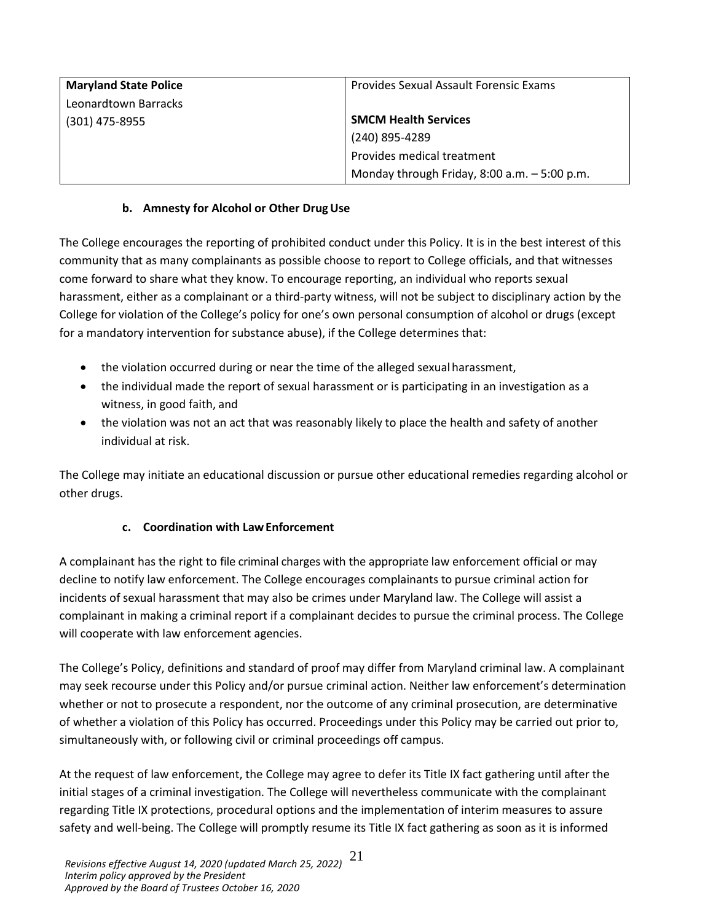| <b>Maryland State Police</b> | Provides Sexual Assault Forensic Exams          |
|------------------------------|-------------------------------------------------|
| Leonardtown Barracks         |                                                 |
| (301) 475-8955               | <b>SMCM Health Services</b>                     |
|                              | (240) 895-4289                                  |
|                              | Provides medical treatment                      |
|                              | Monday through Friday, $8:00$ a.m. $-5:00$ p.m. |

### **b. Amnesty for Alcohol or Other DrugUse**

<span id="page-20-0"></span>The College encourages the reporting of prohibited conduct under this Policy. It is in the best interest of this community that as many complainants as possible choose to report to College officials, and that witnesses come forward to share what they know. To encourage reporting, an individual who reports sexual harassment, either as a complainant or a third-party witness, will not be subject to disciplinary action by the College for violation of the College's policy for one's own personal consumption of alcohol or drugs (except for a mandatory intervention for substance abuse), if the College determines that:

- the violation occurred during or near the time of the alleged sexualharassment,
- the individual made the report of sexual harassment or is participating in an investigation as a witness, in good faith, and
- the violation was not an act that was reasonably likely to place the health and safety of another individual at risk.

The College may initiate an educational discussion or pursue other educational remedies regarding alcohol or other drugs.

## **c. Coordination with LawEnforcement**

<span id="page-20-1"></span>A complainant has the right to file criminal charges with the appropriate law enforcement official or may decline to notify law enforcement. The College encourages complainants to pursue criminal action for incidents of sexual harassment that may also be crimes under Maryland law. The College will assist a complainant in making a criminal report if a complainant decides to pursue the criminal process. The College will cooperate with law enforcement agencies.

The College's Policy, definitions and standard of proof may differ from Maryland criminal law. A complainant may seek recourse under this Policy and/or pursue criminal action. Neither law enforcement's determination whether or not to prosecute a respondent, nor the outcome of any criminal prosecution, are determinative of whether a violation of this Policy has occurred. Proceedings under this Policy may be carried out prior to, simultaneously with, or following civil or criminal proceedings off campus.

At the request of law enforcement, the College may agree to defer its Title IX fact gathering until after the initial stages of a criminal investigation. The College will nevertheless communicate with the complainant regarding Title IX protections, procedural options and the implementation of interim measures to assure safety and well-being. The College will promptly resume its Title IX fact gathering as soon as it is informed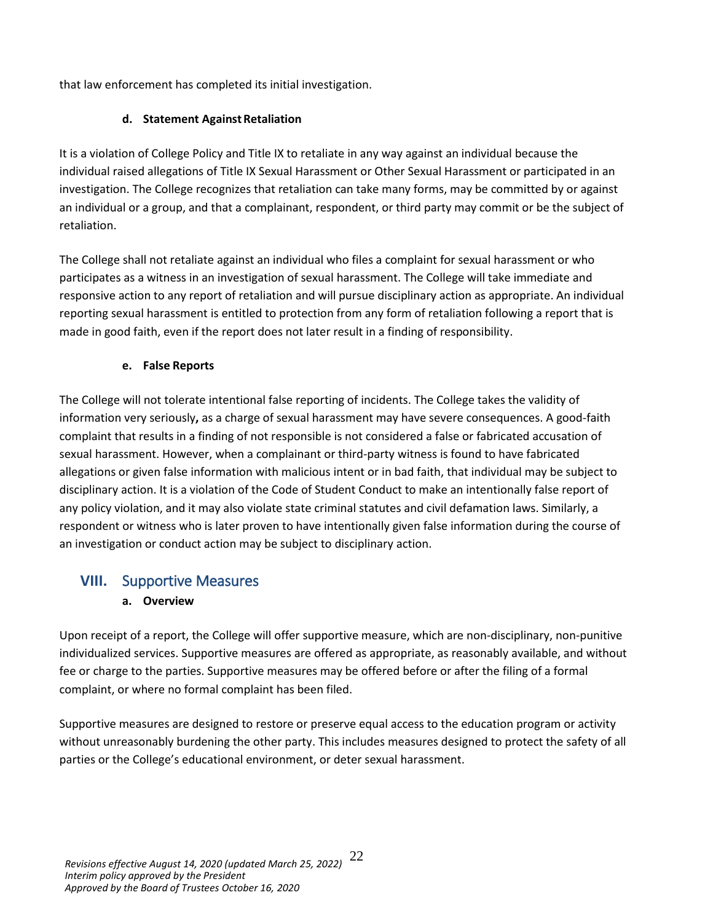<span id="page-21-0"></span>that law enforcement has completed its initial investigation.

### **d.** Statement Against Retaliation

It is a violation of College Policy and Title IX to retaliate in any way against an individual because the individual raised allegations of Title IX Sexual Harassment or Other Sexual Harassment or participated in an investigation. The College recognizes that retaliation can take many forms, may be committed by or against an individual or a group, and that a complainant, respondent, or third party may commit or be the subject of retaliation.

The College shall not retaliate against an individual who files a complaint for sexual harassment or who participates as a witness in an investigation of sexual harassment. The College will take immediate and responsive action to any report of retaliation and will pursue disciplinary action as appropriate. An individual reporting sexual harassment is entitled to protection from any form of retaliation following a report that is made in good faith, even if the report does not later result in a finding of responsibility.

### **e. False Reports**

<span id="page-21-1"></span>The College will not tolerate intentional false reporting of incidents. The College takes the validity of information very seriously**,** as a charge of sexual harassment may have severe consequences. A good-faith complaint that results in a finding of not responsible is not considered a false or fabricated accusation of sexual harassment. However, when a complainant or third-party witness is found to have fabricated allegations or given false information with malicious intent or in bad faith, that individual may be subject to disciplinary action. It is a violation of the Code of Student Conduct to make an intentionally false report of any policy violation, and it may also violate state criminal statutes and civil defamation laws. Similarly, a respondent or witness who is later proven to have intentionally given false information during the course of an investigation or conduct action may be subject to disciplinary action.

# <span id="page-21-3"></span><span id="page-21-2"></span>**VIII.** Supportive Measures

## **a. Overview**

Upon receipt of a report, the College will offer supportive measure, which are non-disciplinary, non-punitive individualized services. Supportive measures are offered as appropriate, as reasonably available, and without fee or charge to the parties. Supportive measures may be offered before or after the filing of a formal complaint, or where no formal complaint has been filed.

Supportive measures are designed to restore or preserve equal access to the education program or activity without unreasonably burdening the other party. This includes measures designed to protect the safety of all parties or the College's educational environment, or deter sexual harassment.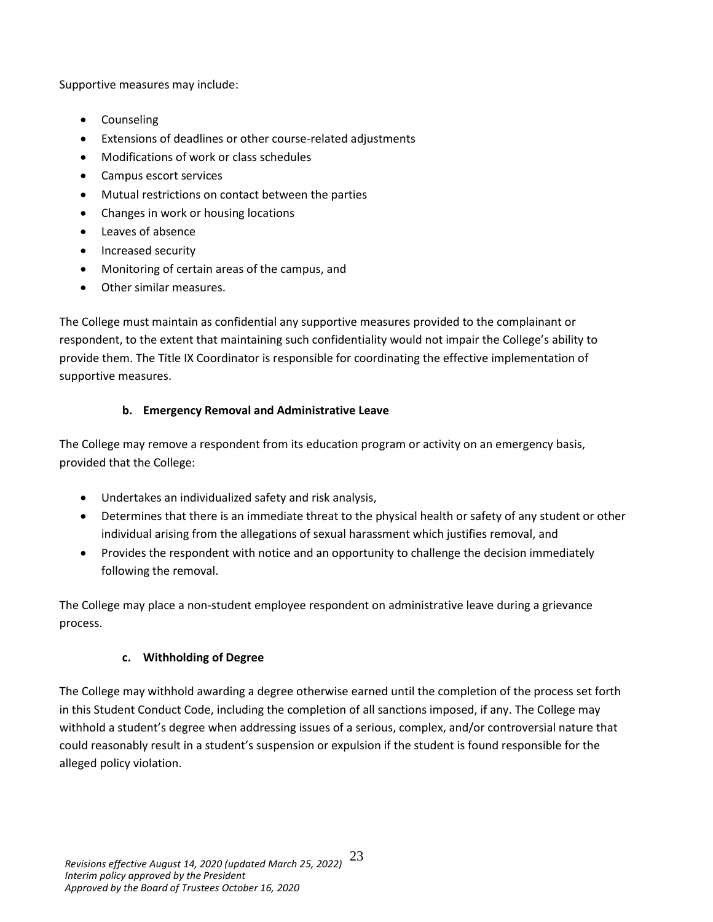Supportive measures may include:

- Counseling
- Extensions of deadlines or other course-related adjustments
- Modifications of work or class schedules
- Campus escort services
- Mutual restrictions on contact between the parties
- Changes in work or housing locations
- Leaves of absence
- Increased security
- Monitoring of certain areas of the campus, and
- Other similar measures.

The College must maintain as confidential any supportive measures provided to the complainant or respondent, to the extent that maintaining such confidentiality would not impair the College's ability to provide them. The Title IX Coordinator is responsible for coordinating the effective implementation of supportive measures.

# **b. Emergency Removal and Administrative Leave**

<span id="page-22-0"></span>The College may remove a respondent from its education program or activity on an emergency basis, provided that the College:

- Undertakes an individualized safety and risk analysis,
- Determines that there is an immediate threat to the physical health or safety of any student or other individual arising from the allegations of sexual harassment which justifies removal, and
- Provides the respondent with notice and an opportunity to challenge the decision immediately following the removal.

The College may place a non-student employee respondent on administrative leave during a grievance process.

## **c. Withholding of Degree**

<span id="page-22-1"></span>The College may withhold awarding a degree otherwise earned until the completion of the process set forth in this Student Conduct Code, including the completion of all sanctions imposed, if any. The College may withhold a student's degree when addressing issues of a serious, complex, and/or controversial nature that could reasonably result in a student's suspension or expulsion if the student is found responsible for the alleged policy violation.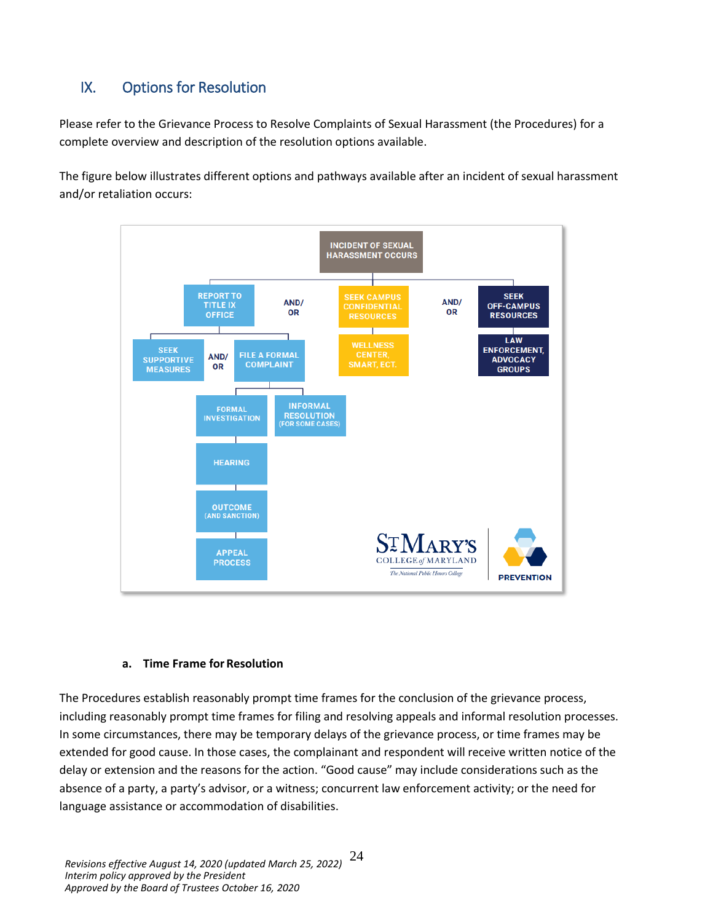# <span id="page-23-0"></span>IX. Options for Resolution

Please refer to the Grievance Process to Resolve Complaints of Sexual Harassment (the Procedures) for a complete overview and description of the resolution options available.

The figure below illustrates different options and pathways available after an incident of sexual harassment and/or retaliation occurs:



#### **a. Time Frame forResolution**

<span id="page-23-1"></span>The Procedures establish reasonably prompt time frames for the conclusion of the grievance process, including reasonably prompt time frames for filing and resolving appeals and informal resolution processes. In some circumstances, there may be temporary delays of the grievance process, or time frames may be extended for good cause. In those cases, the complainant and respondent will receive written notice of the delay or extension and the reasons for the action. "Good cause" may include considerations such as the absence of a party, a party's advisor, or a witness; concurrent law enforcement activity; or the need for language assistance or accommodation of disabilities.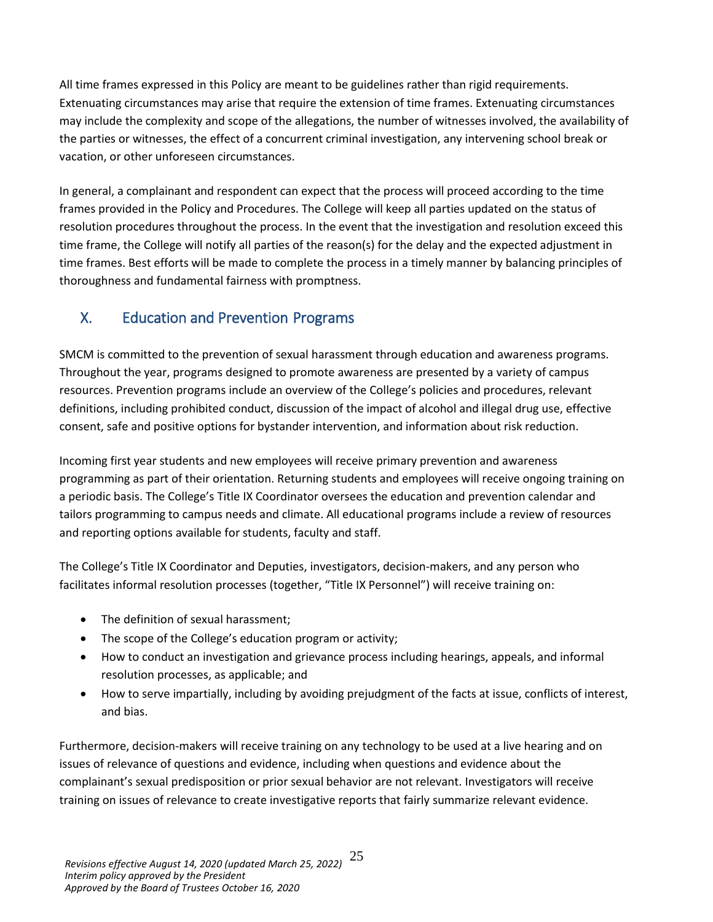All time frames expressed in this Policy are meant to be guidelines rather than rigid requirements. Extenuating circumstances may arise that require the extension of time frames. Extenuating circumstances may include the complexity and scope of the allegations, the number of witnesses involved, the availability of the parties or witnesses, the effect of a concurrent criminal investigation, any intervening school break or vacation, or other unforeseen circumstances.

In general, a complainant and respondent can expect that the process will proceed according to the time frames provided in the Policy and Procedures. The College will keep all parties updated on the status of resolution procedures throughout the process. In the event that the investigation and resolution exceed this time frame, the College will notify all parties of the reason(s) for the delay and the expected adjustment in time frames. Best efforts will be made to complete the process in a timely manner by balancing principles of thoroughness and fundamental fairness with promptness.

# <span id="page-24-0"></span>X. Education and Prevention Programs

SMCM is committed to the prevention of sexual harassment through education and awareness programs. Throughout the year, programs designed to promote awareness are presented by a variety of campus resources. Prevention programs include an overview of the College's policies and procedures, relevant definitions, including prohibited conduct, discussion of the impact of alcohol and illegal drug use, effective consent, safe and positive options for bystander intervention, and information about risk reduction.

Incoming first year students and new employees will receive primary prevention and awareness programming as part of their orientation. Returning students and employees will receive ongoing training on a periodic basis. The College's Title IX Coordinator oversees the education and prevention calendar and tailors programming to campus needs and climate. All educational programs include a review of resources and reporting options available for students, faculty and staff.

The College's Title IX Coordinator and Deputies, investigators, decision-makers, and any person who facilitates informal resolution processes (together, "Title IX Personnel") will receive training on:

- The definition of sexual harassment;
- The scope of the College's education program or activity;
- How to conduct an investigation and grievance process including hearings, appeals, and informal resolution processes, as applicable; and
- How to serve impartially, including by avoiding prejudgment of the facts at issue, conflicts of interest, and bias.

Furthermore, decision-makers will receive training on any technology to be used at a live hearing and on issues of relevance of questions and evidence, including when questions and evidence about the complainant's sexual predisposition or prior sexual behavior are not relevant. Investigators will receive training on issues of relevance to create investigative reports that fairly summarize relevant evidence.